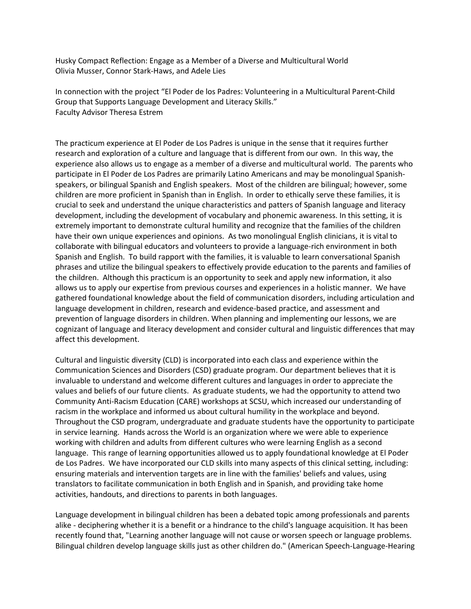Husky Compact Reflection: Engage as a Member of a Diverse and Multicultural World Olivia Musser, Connor Stark-Haws, and Adele Lies

In connection with the project "El Poder de los Padres: Volunteering in a Multicultural Parent-Child Group that Supports Language Development and Literacy Skills." Faculty Advisor Theresa Estrem

The practicum experience at El Poder de Los Padres is unique in the sense that it requires further research and exploration of a culture and language that is different from our own. In this way, the experience also allows us to engage as a member of a diverse and multicultural world. The parents who participate in El Poder de Los Padres are primarily Latino Americans and may be monolingual Spanishspeakers, or bilingual Spanish and English speakers. Most of the children are bilingual; however, some children are more proficient in Spanish than in English. In order to ethically serve these families, it is crucial to seek and understand the unique characteristics and patters of Spanish language and literacy development, including the development of vocabulary and phonemic awareness. In this setting, it is extremely important to demonstrate cultural humility and recognize that the families of the children have their own unique experiences and opinions. As two monolingual English clinicians, it is vital to collaborate with bilingual educators and volunteers to provide a language-rich environment in both Spanish and English. To build rapport with the families, it is valuable to learn conversational Spanish phrases and utilize the bilingual speakers to effectively provide education to the parents and families of the children. Although this practicum is an opportunity to seek and apply new information, it also allows us to apply our expertise from previous courses and experiences in a holistic manner. We have gathered foundational knowledge about the field of communication disorders, including articulation and language development in children, research and evidence-based practice, and assessment and prevention of language disorders in children. When planning and implementing our lessons, we are cognizant of language and literacy development and consider cultural and linguistic differences that may affect this development.

Cultural and linguistic diversity (CLD) is incorporated into each class and experience within the Communication Sciences and Disorders (CSD) graduate program. Our department believes that it is invaluable to understand and welcome different cultures and languages in order to appreciate the values and beliefs of our future clients. As graduate students, we had the opportunity to attend two Community Anti-Racism Education (CARE) workshops at SCSU, which increased our understanding of racism in the workplace and informed us about cultural humility in the workplace and beyond. Throughout the CSD program, undergraduate and graduate students have the opportunity to participate in service learning. Hands across the World is an organization where we were able to experience working with children and adults from different cultures who were learning English as a second language. This range of learning opportunities allowed us to apply foundational knowledge at El Poder de Los Padres. We have incorporated our CLD skills into many aspects of this clinical setting, including: ensuring materials and intervention targets are in line with the families' beliefs and values, using translators to facilitate communication in both English and in Spanish, and providing take home activities, handouts, and directions to parents in both languages.

Language development in bilingual children has been a debated topic among professionals and parents alike - deciphering whether it is a benefit or a hindrance to the child's language acquisition. It has been recently found that, "Learning another language will not cause or worsen speech or language problems. Bilingual children develop language skills just as other children do." (American Speech-Language-Hearing